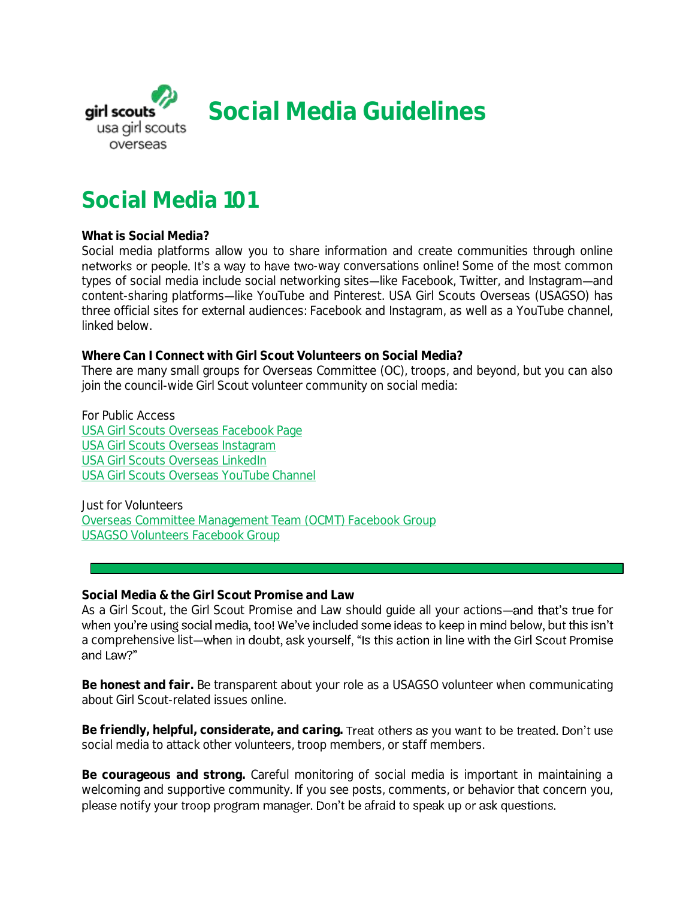

# **Social Media 101**

#### **What is Social Media?**

Social media platforms allow you to share information and create communities through online networks or people. It's a way to have two-way conversations online! Some of the most common types of social media include social networking sites-like Facebook, Twitter, and Instagram-and content-sharing platforms—like YouTube and Pinterest. USA Girl Scouts Overseas (USAGSO) has three official sites for external audiences: Facebook and Instagram, as well as a YouTube channel, linked below.

**Where Can I Connect with Girl Scout Volunteers on Social Media?** There are many small groups for Overseas Committee (OC), troops, and beyond, but you can also join the council-wide Girl Scout volunteer community on social media:

For Public Access [USA Girl Scouts Overseas Facebook Page](https://www.facebook.com/USAGSO/) [USA Girl Scouts Overseas Instagram](https://instagram.com/gsoverseas) [USA Girl Scouts Overseas LinkedIn](https://www.linkedin.com/company/usa-girl-scouts-overseas/) [USA Girl Scouts Overseas YouTube Channel](https://www.youtube.com/channel/UC8tebMd0hXwmmm7_uKObV-g)

Just for Volunteers [Overseas Committee Management Team \(OCMT\) Facebook Group](https://www.facebook.com/groups/1776559995923939/) [USAGSO Volunteers Facebook Group](https://www.facebook.com/groups/294894287621455/)

**Social Media & the Girl Scout Promise and Law**

As a Girl Scout, the Girl Scout Promise and Law should guide all your actions-and that's true for when you're using social media, too! We've included some ideas to keep in mind below, but this isn't a comprehensive list-when in doubt, ask yourself, "Is this action in line with the Girl Scout Promise and Law?"

**Be honest and fair.** Be transparent about your role as a USAGSO volunteer when communicating about Girl Scout-related issues online.

**Be friendly, helpful, considerate, and caring.** social media to attack other volunteers, troop members, or staff members.

**Be courageous and strong.** Careful monitoring of social media is important in maintaining a welcoming and supportive community. If you see posts, comments, or behavior that concern you, please notify your troop program manager. Don't be afraid to speak up or ask questions.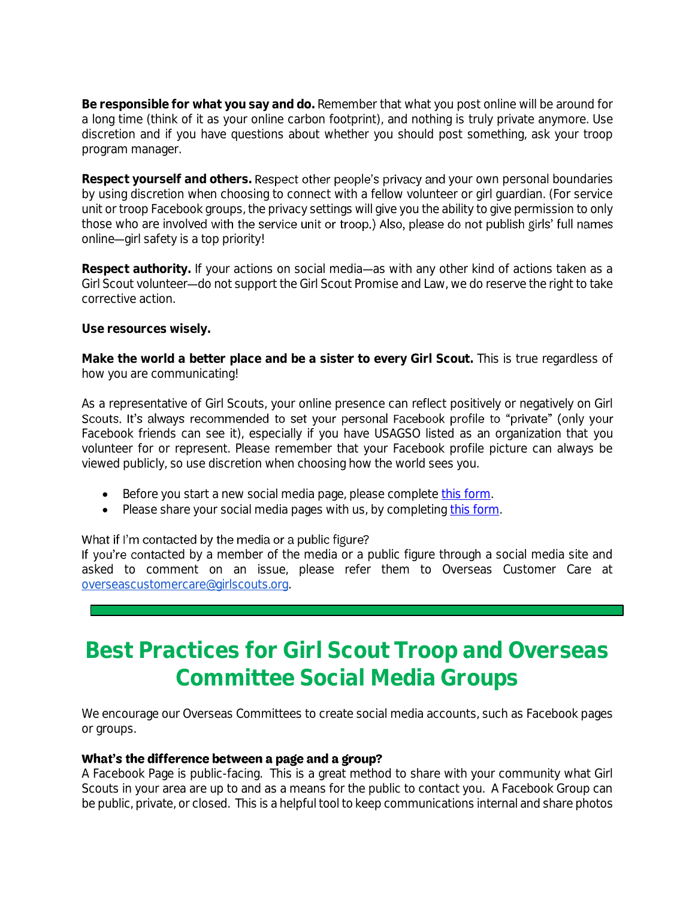**Be responsible for what you say and do.** Remember that what you post online will be around for a long time (think of it as your online carbon footprint), and nothing is truly private anymore. Use discretion and if you have questions about whether you should post something, ask your troop program manager.

Respect yourself and others. Respect other people's privacy and your own personal boundaries by using discretion when choosing to connect with a fellow volunteer or girl guardian. (For service unit or troop Facebook groups, the privacy settings will give you the ability to give permission to only those who are involved with the service unit or troop.) Also, please do not publish girls' full names online-girl safety is a top priority!

Respect authority. If your actions on social media—as with any other kind of actions taken as a Girl Scout volunteer—do not support the Girl Scout Promise and Law, we do reserve the right to take corrective action.

**Use resources wisely.**

**Make the world a better place and be a sister to every Girl Scout.** This is true regardless of how you are communicating!

As a representative of Girl Scouts, your online presence can reflect positively or negatively on Girl Scouts. It's always recommended to set your personal Facebook profile to "private" (only your Facebook friends can see it), especially if you have USAGSO listed as an organization that you volunteer for or represent. Please remember that your Facebook profile picture can always be viewed publicly, so use discretion when choosing how the world sees you.

- Before you start a new social media page, please complete [this form.](https://usagso.wufoo.com/forms/r1ogb7u01j9r2xg/)
- Please share your social media pages with us, by completing [this form.](https://usagso.wufoo.com/forms/r1upmh361wv7mhb/)

### What if I'm contacted by the media or a public figure?

If you're contacted by a member of the media or a public figure through a social media site and asked to comment on an issue, please refer them to Overseas Customer Care at [overseascustomercare@girlscouts.org.](mailto:overseascustomercare@girlscouts.org)

# **Best Practices for Girl Scout Troop and Overseas Committee Social Media Groups**

We encourage our Overseas Committees to create social media accounts, such as Facebook pages or groups.

## What's the difference between a page and a group?

A Facebook Page is public-facing. This is a great method to share with your community what Girl Scouts in your area are up to and as a means for the public to contact you. A Facebook Group can be public, private, or closed. This is a helpful tool to keep communications internal and share photos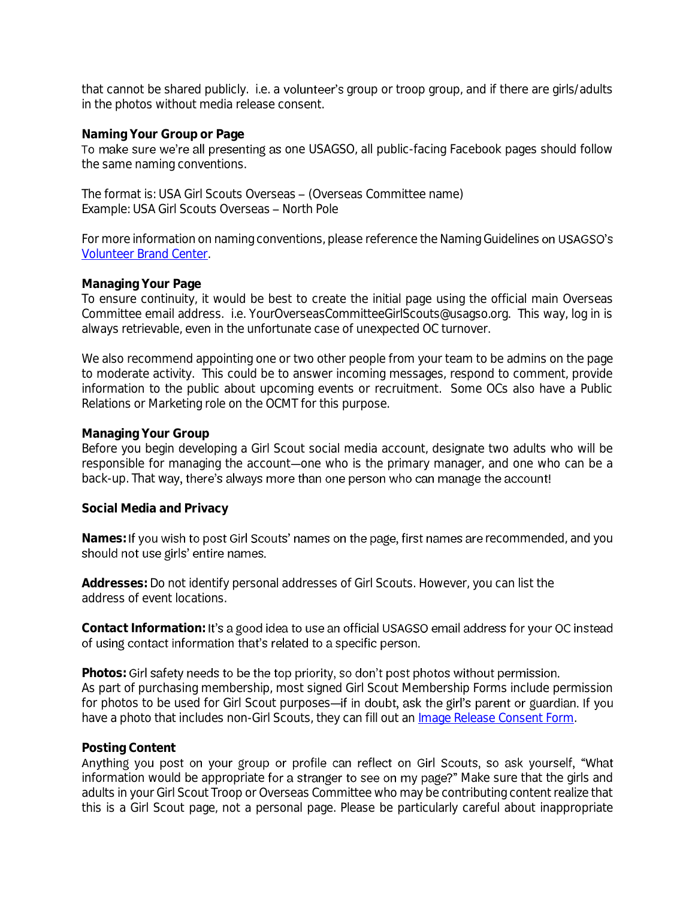that cannot be shared publicly. i.e. a volunteer's group or troop group, and if there are girls/adults in the photos without media release consent.

#### **Naming Your Group or Page**

To make sure we're all presenting as one USAGSO, all public-facing Facebook pages should follow the same naming conventions.

The format is: USA Girl Scouts Overseas - (Overseas Committee name) Example: USA Girl Scouts Overseas - North Pole

For more information on naming conventions, please reference the Naming Guidelines on USAGSO's [Volunteer Brand Center.](http://www.usagso.org/en/for-volunteers/volunteer-resources/volunteer-brand-center.html)

#### **Managing Your Page**

To ensure continuity, it would be best to create the initial page using the official main Overseas Committee email address. i.e. YourOverseasCommitteeGirlScouts@usagso.org. This way, log in is always retrievable, even in the unfortunate case of unexpected OC turnover.

We also recommend appointing one or two other people from your team to be admins on the page to moderate activity. This could be to answer incoming messages, respond to comment, provide information to the public about upcoming events or recruitment. Some OCs also have a Public Relations or Marketing role on the OCMT for this purpose.

#### **Managing Your Group**

Before you begin developing a Girl Scout social media account, designate two adults who will be responsible for managing the account-one who is the primary manager, and one who can be a back-up. That way, there's always more than one person who can manage the account!

**Social Media and Privacy**

Names: If you wish to post Girl Scouts' names on the page, first names are recommended, and you should not use girls' entire names.

**Addresses:** Do not identify personal addresses of Girl Scouts. However, you can list the address of event locations.

Contact Information: It's a good idea to use an official USAGSO email address for your OC instead of using contact information that's related to a specific person.

Photos: Girl safety needs to be the top priority, so don't post photos without permission. As part of purchasing membership, most signed Girl Scout Membership Forms include permission for photos to be used for Girl Scout purposes-if in doubt, ask the girl's parent or guardian. If you have a photo that includes non-Girl Scouts, they can fill out an [Image Release Consent Form.](https://drive.google.com/file/d/1nWJupNXzSrTHc6JXU_WdEnZo0iUKrcVZ/view?usp=sharing)

### **Posting Content**

Anything you post on your group or profile can reflect on Girl Scouts, so ask yourself, "What information would be appropriate for a stranger to see on my page?" Make sure that the girls and adults in your Girl Scout Troop or Overseas Committee who may be contributing content realize that this is a Girl Scout page, not a personal page. Please be particularly careful about inappropriate